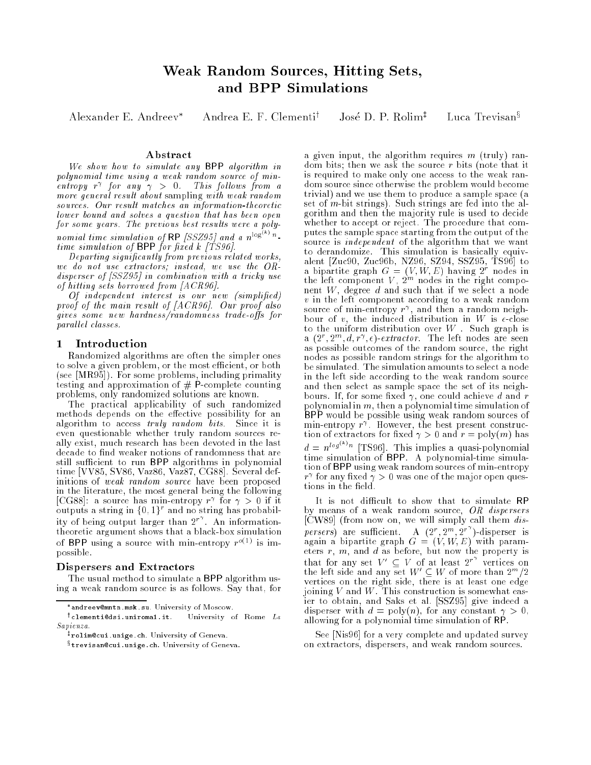# Weak Random Sources, Hitting Sets, and BPP Simulations

Alexander E. Andreev<sup>\*</sup> Andrea E. F. Clementi<sup>†</sup>

José D. P.  $R$ olim<sup> $\ddagger$ </sup>

Luca Trevisan<sup>§</sup>

## Abstract

We show how to simulate any BPP algorithm in polynomial time using a weak random source of min- $\epsilon$ ntropy r for any  $\gamma > 0$ . This follows from a more general result about sampling with weak random sources. Our result matches an information-theoretic lower bound and solves a question that has been open for some years. The previous best results were a polynomial time simulation of RP [SSZ95] and a  $n^{\log^{n} n}$ time simulation of BPP for the form of  $\mathcal{F}$ 

Departing signicantly from previous related works, we do not use extractors; instead, we use the ORdisperser of [SSZ95] in combination with a tricky use of hitting sets borrowed from [ACR96].

Of independent interest is our new (simplied) proof of the main result of [ACR96]. Our proof also gives some new hardness/randomness trade-offs for parallel classes.

# 1 Introduction

Randomized algorithms are often the simpler ones to solve a given problem, or the most efficient, or both (see [MR95]). For some problems, including primality testing and approximation of  $#$  P-complete counting problems, only randomized solutions are known.

The practical applicability of such randomized methods depends on the effective possibility for an algorithm to access truly random bits. Since it is even questionable whether truly random sources really exist, much research has been devoted in the last decade to find weaker notions of randomness that are still sufficient to run BPP algorithms in polynomial time [VV85, SV86, Vaz86, Vaz87, CG88]. Several definitions of weak random source have been proposed in the literature, the most general being the following [CG88]: a source has min-entropy  $r_+$  for  $\gamma > 0$  if it outputs a string in f0; 1g<sup>r</sup> and no string has probability of being output larger than  $2^r$ . An informationtheoretic argument shows that a black-box simulation of  $\mathsf{D}\mathsf{F}\mathsf{F}$  using a source with min-entropy  $r^{1/2}$  is mipossible.

#### Dispersers and Extractors

The usual method to simulate a BPP algorithm using a weak random source is as follows. Say that, for a given input, the algorithm requires  $m$  (truly) random bits; then we ask the source r bits (note that it is required to make only one access to the weak random source since otherwise the problem would become trivial) and we use them to produce a sample space (a set of  $m$ -bit strings). Such strings are fed into the algorithm and then the majority rule is used to decide whether to accept or reject. The procedure that computes the sample space starting from the output of the source is *independent* of the algorithm that we want to derandomize. This simulation is basically equiva bipartite graph  $G = (V, W, E)$  having  $2^r$  nodes in<br>the left component V,  $2^m$  nodes in the right component W, degree d and such that if we select a node if we select a node if we select a node if we select a node variant according to a weak random set  $\mathcal{W}^{\mathcal{A}}$  . We also a weak random set  $\mathcal{W}^{\mathcal{A}}$ source of min-entropy  $r$  , and then a random neignbour of v, the induced distribution in W is -close to induced distribution in W is -close to induced distribution in to the uniform distribution over  $W$ . Such graph is a  $(z^*, z^*, a, r^*, \epsilon)$ -extractor. The left nodes are seen as possible outcomes of the random source, the right nodes as possible random strings for the algorithm to be simulated. The simulation amounts to select a node in the left side according to the weak random source and then select as sample space the set of its neighbours. If, for some fixed  $\gamma$ , one could achieve d and r polynomial in m, then a polynomial time simulation of BPP would be possible using weak random sources of min-entropy r . However, the best present construction of extractors for fixed  $\gamma > 0$  and  $r = \text{poly}(m)$  has  $d = n^{\log^{n} n}$  [TS96]. This implies a quasi-polynomial time simulation of BPP. A polynomial-time simulation of BPP using weak random sources of min-entropy  $r_{\perp}$  for any fixed  $\gamma > 0$  was one of the major open questions in the field.

It is not difficult to show that to simulate RP by means of a weak random source, OR dispersers  $[\text{CW89}]$  (from now on, we will simply call them  $dis$ persers) are sufficient. A  $(2^r, 2^m, 2^{r})$ -disperser is again a bipartite graph G = (V; W; M; C) with parameter eters  $r, m$ , and  $d$  as before, but now the property is that for any set  $V' \subseteq V$  of at least  $2^{r'}$  vertices on<br>the left side and any set  $W' \subseteq W$  of more than  $2^{m}/2$ vertices on the right side, there is at least one edge joining variable variables when  $\mathcal{N}$  and  $\mathcal{N}$  and  $\mathcal{N}$  and  $\mathcal{N}$  and  $\mathcal{N}$  are what easy-forms of  $\mathcal{N}$ ier to obtain, and Saks et al. [SSZ95] give indeed a disperser with  $d = \text{poly}(n)$ , for any constant  $\gamma > 0$ , allowing for a polynomial time simulation of RP.

See [Nis96] for a very complete and updated survey on extractors, dispersers, and weak random sources.

andreev@mntn.msk.su. University of Moscow.

 $\cdot$  clementivesi.uniromal.it. University of Rome  $La$ Sapienza.

<sup>z</sup> rolim@cui.unige.ch. University of Geneva.

<sup>x</sup> trevisan@cui.unige.ch. University of Geneva.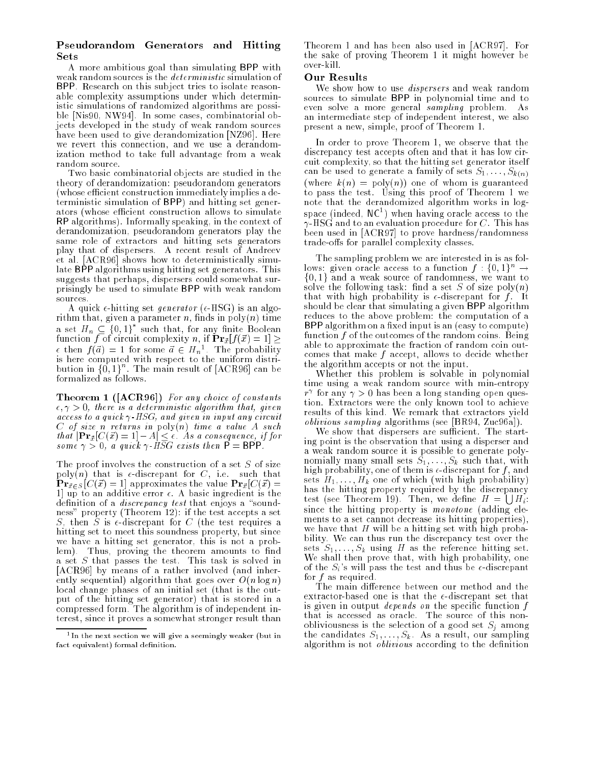# Pseudorandom Generators and Hitting Sets

A more ambitious goal than simulating BPP with weak random sources is the deterministic simulation of BPP. Research on this subject tries to isolate reasonable complexity assumptions under which deterministic simulations of randomized algorithms are possible [Nis90, NW94]. In some cases, combinatorial objects developed in the study of weak random sources have been used to give derandomization [NZ96]. Here we revert this connection, and we use a derandomization method to take full advantage from a weak random source.

Two basic combinatorial objects are studied in the theory of derandomization: pseudorandom generators (whose efficient construction immediately implies a deterministic simulation of BPP) and hitting set generators (whose efficient construction allows to simulate RP algorithms). Informally speaking, in the context of derandomization, pseudorandom generators play the same role of extractors and hitting sets generators play that of dispersers. A recent result of Andreev et al. [ACR96] shows how to deterministically simulate BPP algorithms using hitting set generators. This suggests that perhaps, dispersers could somewhat surprisingly be used to simulate BPP with weak random sources.

A quick  $\epsilon$ -hitting set *generator* ( $\epsilon$ -HSG) is an algorithm that, given a parameter  $n$ , finds in  $poly(n)$  time a set  $H_n \subseteq \{0, 1\}$  such that, for any finite Boolean function f of circuit complexity n, if  $\mathbf{Pr}_{\vec{x}}[f(\vec{x}) = 1] \ge$  $\epsilon$  then  $f(a) = 1$  for some  $a \in H_n^{\infty}$ . The probability is here computed with respect to the uniform distribution in  $\{0,1\}$ . The main result of  $[ACR96]$  can be formalized as follows.

Theorem 1 ([ACR96]) For any choice of constants  $\epsilon, \gamma > 0$ , there is a deterministic algorithm that, given access to a quick  $\gamma$ -HSG, and given in input any circuit  $C$  of size n returns in  $\text{poly}(n)$  time a value  $A$  such that is provided to  $\mathcal{N}$  . As a consequence, if  $\mathcal{N}$  is a consequence, if  $\mathcal{N}$  if  $\mathcal{N}$ some portugalent products then we have the products of the P

The proof involves the construction of a set S of size poly(n) that is  $\epsilon$ -discrepant for C, i.e. such that  $\mathbf{Pr}_{\vec{x} \in S} [C(\vec{x}) = 1]$  approximates the value  $\mathbf{Pr}_{\vec{x}}[C(\vec{x}) =$ 1] up to an additive error  $\epsilon$ . A basic ingredient is the definition of a *discrepancy test* that enjoys a "soundness" property (Theorem 12): if the test accepts a set S, then S is  $\epsilon$ -discrepant for C (the test requires a hitting set to meet this soundness property, but since we have a hitting set generator, this is not a problem). Thus, proving the theorem amounts to find a set S that passes the test. This task is solved in [ACR96] by means of a rather involved (and inherently sequential) algorithm that goes over  $O(n \log n)$ local change phases of an initial set (that is the output of the hitting set generator) that is stored in a compressed form. The algorithm is of independent interest, since it proves a somewhat stronger result than

Theorem 1 and has been also used in [ACR97]. For the sake of proving Theorem 1 it might however be over-kill.

## Our Results

We show how to use *dispersers* and weak random sources to simulate BPP in polynomial time and to even solve a more general sampling problem. As an intermediate step of independent interest, we also present a new, simple, proof of Theorem 1.

In order to prove Theorem 1, we observe that the discrepancy test accepts often and that it has low circuit complexity, so that the hitting set generator itself can be used to generate a family of sets  $S_1, \ldots, S_{k(n)}$ (where  $k(n) = \text{poly}(n)$ ) one of whom is guaranteed to pass the test. Using this proof of Theorem 1 we note that the derandomized algorithm works in logspace (indeed, NCT) when having oracle access to the  $\gamma$ -HSG and to an evaluation procedure for C. This has been used in [ACR97] to prove hardness/randomness trade-offs for parallel complexity classes.

The sampling problem we are interested in is as follows: given oracle access to a function  $f : \{0,1\}^n \rightarrow$  $\{0, 1\}$  and a weak source of randomness, we want to solve the following task: find a set  $S$  of size  $poly(n)$ that with high probability is  $\epsilon$ -discrepant for f. It should be clear that simulating a given BPP algorithm reduces to the above problem: the computation of a BPP algorithm on a fixed input is an (easy to compute) function  $f$  of the outcomes of the random coins. Being able to approximate the fraction of random coin outcomes that make  $f$  accept, allows to decide whether the algorithm accepts or not the input.

Whether this problem is solvable in polynomial time using a weak random source with min-entropy  $r_{\perp}$  for any  $\gamma > 0$  has been a long standing open question. Extractors were the only known tool to achieve results of this kind. We remark that extractors yield oblivious sampling algorithms (see [BR94, Zuc96a]).

We show that dispersers are sufficient. The starting point is the observation that using a disperser and a weak random source it is possible to generate polynomially many small sets  $S_1, \ldots, S_k$  such that, with high probability, one of them is  $\epsilon$ -discrepant for f, and sets  $H_1, \ldots, H_k$  one of which (with high probability) has the hitting property required by the discrepancy test (see Theorem 19). Then, we define  $H = \bigcup H_i$ : since the hitting property is monotone (adding elements to a set cannot decrease its hitting properties), we have that  $H$  will be a hitting set with high probability. We can thus run the discrepancy test over the sets  $S_1, \ldots, S_k$  using H as the reference hitting set. We shall then prove that, with high probability, one of the  $S_i$ 's will pass the test and thus be  $\epsilon$ -discrepant for f as required.

The main difference between our method and the extractor-based one is that the  $\epsilon$ -discrepant set that is given in output *depends on* the specific function  $f$ that is accessed as oracle. The source of this nonobliviousness is the selection of a good set  $S_i$  among the candidates  $S_1, \ldots, S_k$ . As a result, our sampling algorithm is not *oblivious* according to the definition

<sup>1</sup> In the next section we will give a seemingly weaker (but in fact equivalent) formal definition.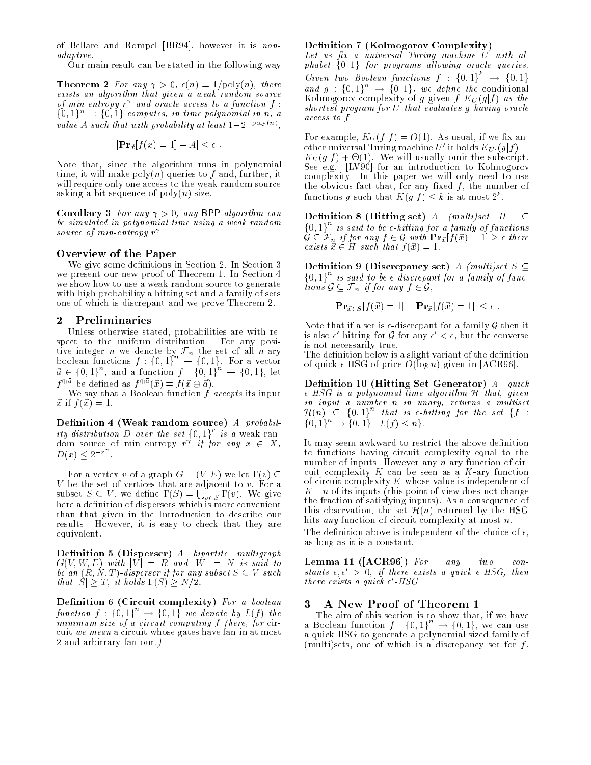of Bellare and Rompel [BR94], however it is nonadaptive.

Our main result can be stated in the following way

**Theorem 2** For any  $\gamma > 0$ ,  $\epsilon(n) = 1/\text{poly}(n)$ , there exists an algorithm that given a weak random source of min-entropy r and oracle access to a function f :  $\{0, 1\}^n \rightarrow \{0, 1\}$  computes, in time polynomial in n, a value  $A$  such that with probability at least  $1\pm 2$  for  $\sim$  7,

$$
|\mathbf{Pr}_{\vec{x}}[f(x) = 1] - A| \leq \epsilon.
$$

Note that, since the algorithm runs in polynomial time, it will make  $poly(n)$  queries to f and, further, it will require only one access to the weak random source asking a bit sequence of  $poly(n)$  size.

Corollary 3 For any  $\gamma > 0$ , any BPP algorithm can be simulated in polynomial time using a weak random source of min-entropy r .

#### Overview of the Paper

We give some definitions in Section 2. In Section 3 we present our new proof of Theorem 1. In Section 4 we show how to use a weak random source to generate with high probability a hitting set and a family of sets one of which is discrepant and we prove Theorem 2.

# 2 Preliminaries

Unless otherwise stated, probabilities are with respect to the uniform distribution. For any positive integer notation integer n we denote by Fig. set of all n-ary  $\mu$  -set of all n-ary  $\mu$ boolean functions  $f : \{0,1\} \rightarrow \{0,1\}$ . For a vector  $a \in \{0,1\}$ , and a function  $f : \{0,1\} \rightarrow \{0,1\}$ , let  $f^{\oplus \vec{a}}$  be defined as  $f^{\oplus \vec{a}}(\vec{x}) = f(\vec{x} \oplus \vec{a}).$ 

We say that a Boolean function  $f$  accepts its input  $\vec{x}$  if  $f(\vec{x}) = 1$ .

Definition 4 (Weak random source)  $A$  probability distribution D over the set  $\{0, 1\}$  is a weak random source of min entropy  $r \circ \eta$  for any  $x \in X$ ,  $D(x) \leq 2$ .

For a vertex v of a graph  $G = (V, E)$  we let  $\Gamma(v) \subseteq$ subset  $S \subseteq V$ , we define  $\Gamma(S) = \bigcup_{v \in S} \Gamma(v)$ . We give here a definition of dispersers which is more convenient than that given in the Introduction to describe our results. However, it is easy to check that they are equivalent.

**Definition 5 (Disperser)**  $A$  bipartite multigraph  $G(V, W, E)$  with  $|V| = R$  and  $|W| = N$  is said to be an  $(R, N, T)$ -disperser if for any subset  $S \subseteq V$  such that  $|S| \geq T$ , it holds  $\Gamma(S) \geq N/2$ .

Definition 6 (Circuit complexity) For a boolean function  $f : \{0,1\} \rightarrow \{0,1\}$  we denote by  $L(f)$  the minimum size of a circuit computing f (here, for circuit we mean a circuit whose gates have fan-in at most 2 and arbitrary fan-out.)

#### — **Coloradorov (Complexity)**

 $\mathcal{L}$  and  $\mathcal{L}$  are universal Turing machine U with alphabet f0; 1g for programs al lowing oracle queries. Given two Boolean functions  $f : \{0,1\}^+ \rightarrow \{0,1\}$ and  $g : \{0,1\} \rightarrow \{0,1\},$  we define the conditional Kolmogorov complexity of g given  $f K_U(g|f)$  as the shortest program for U that evaluates g having oracle access to f .

For example,  $K_U(f|f) = O(1)$ . As usual, if we fix another universal Turing machine  $U$  to holds  $K_U$  $(y|J) =$ KU (gjf ) + -(1). We will usually omit the subscript. See e.g. [LV90] for an introduction to Kolmogorov complexity. In this paper we will only need to use the obvious fact that, for any fixed  $f$ , the number of functions  $g$  such that  $K(g|f) \leq k$  is at most  $2$  .

**Definition 8 (Hitting set)** A (multi)set  $H \subseteq$  $\{0,1\}^{\sim}$  is said to be  $\epsilon\text{-}hitting$  for a family of functions  $G \subseteq \mathcal{F}_n$  if for any  $f \in \mathcal{G}$  with  $\mathbf{Pr}_{\vec{x}}[f(\vec{x}) = 1] \geq \epsilon$  there exists  $\vec{x} \in H$  such that  $f(\vec{x}) = 1$ .

Definition 9 (Discrepancy set) A (multi)set  $S \subseteq$  $\{0,1\}$  is said to be  $\epsilon$ -discrepant for a family of functions  $\mathcal{G} \subseteq \mathcal{F}_n$  if for any  $f \in \mathcal{G}$ ,

$$
|\mathbf{Pr}_{\vec{x}\in S}[f(\vec{x})=1]-\mathbf{Pr}_{\vec{x}}[f(\vec{x})=1]|\leq \epsilon.
$$

Note that if a set is  $\epsilon$ -discrepant for a family G then it is also  $\epsilon$  -mitting for  $\epsilon$  for any  $\epsilon$   $\epsilon$ , but the converse is not necessarily true.

The definition below is a slight variant of the definition of quick  $\epsilon$ -HSG of price  $O(\log n)$  given in [ACR96].

Definition 10 (Hitting Set Generator)  $A$  quick  $\epsilon$ -HSG is a polynomial-time algorithm  $\cal H$  that, given in input a number n in unary, returns a multiset  $H(n) \subseteq \{0,1\}$  that is e-hitting for the set  $\{f\}$ :  $\{0, 1\} \rightarrow \{0, 1\} : L(f) \leq n\}.$ 

It may seem awkward to restrict the above definition to functions having circuit complexity equal to the number of inputs. However any  $n$ -ary function of circuit complexity  $K$  can be seen as a  $K$ -ary function of circuit complexity K whose value is independent of  $K - n$  of its inputs (this point of view does not change the fraction of satisfying inputs). As a consequence of this observation, the set  $\mathcal{H}(n)$  returned by the HSG hits any function of circuit complexity at most n.

The definition above is independent of the choice of  $\epsilon$ , as long as it is a constant.

**Lemma 11 ([ACR96])** For any two con $two$ stants  $\epsilon, \epsilon' > 0$ , if there exists a quick  $\epsilon$ -HSG, then there exists a quick  $\epsilon$  -пэ $\sigma$ .

# 3 A New Proof of Theorem 1

The aim of this section is to show that, if we have a Boolean function  $f : \{0,1\} \rightarrow \{0,1\}$ , we can use a quick HSG to generate a polynomial sized family of (multi)sets, one of which is a discrepancy set for  $f$ .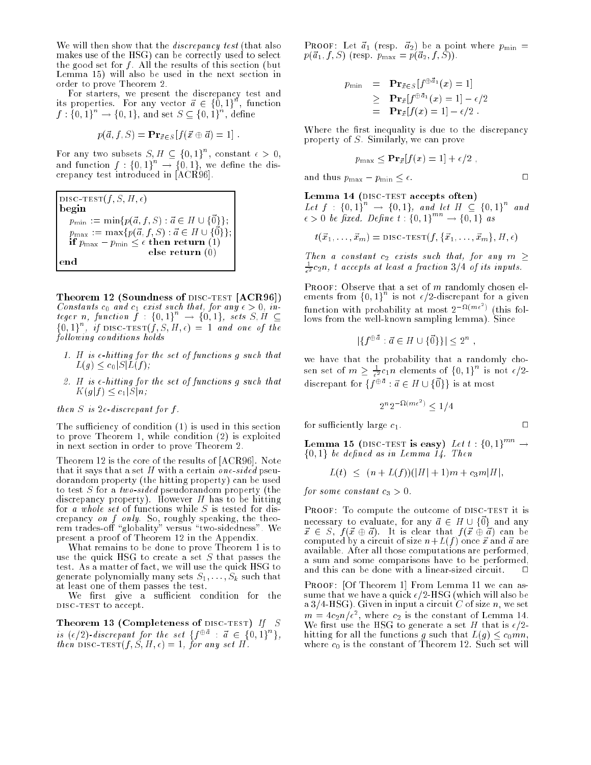We will then show that the *discrepancy test* (that also makes use of the HSG) can be correctly used to select the good set for  $f$ . All the results of this section (but Lemma 15) will also be used in the next section in order to prove Theorem 2.

For starters, we present the discrepancy test and its properties. For any vector  $a \in \{0, 1\}^{\mathbb{N}}$ , function  $f : \{0, 1\} \rightarrow \{0, 1\}$ , and set  $S \subseteq \{0, 1\}$ , define

$$
p(\vec{a}, f, S) = \mathbf{Pr}_{\vec{x} \in S} [f(\vec{x} \oplus \vec{a}) = 1].
$$

For any two subsets  $S, H \subseteq \{0, 1\}$ , constant  $\epsilon > 0$ , and function  $f: \{0,1\}^{\times} \rightarrow \{0,1\}$ , we define the discrepancy test introduced in [ACR96].

$$
\begin{array}{ll}\n\text{DISC-TEST}(f, S, H, \epsilon) \\
\text{begin} \n& \text{mean: } \mathcal{D} \text{min} \text{max: } \mathcal{D} \text{min} \text{max}\{p(\vec{a}, f, S): \vec{a} \in H \cup \{\vec{0}\}\}; \\
& p_{\text{max:}} := \max\{p(\vec{a}, f, S): \vec{a} \in H \cup \{\vec{0}\}\}; \\
& \text{if } p_{\text{max}} - p_{\text{min}} \leq \epsilon \text{ then return (1)} \\
& \text{else return (0)} \\
& \text{end}\n\end{array}
$$

Theorem 12 (Soundness of DISC-TEST [ACR96]) Constants c0 and c1 exist such that, for any > 0, integer n, function  $f : \{0,1\}^+ \rightarrow \{0,1\}$ , sets  $S, H \subseteq$  $\{0, 1\}$ , if DISC-TEST(f, S, H,  $\epsilon$ ) = 1 and one of the following conditions holds

- 1. H is  $\epsilon$ -hitting for the set of functions g such that  $L(g) \leq c_0 |S| L(f);$
- $2.1$  H is -hitting for the set of functions g such that set of functions g such that  $\alpha$  $\ldots$   $\ldots$   $\ldots$

then S is  $2\epsilon$ -discrepant for f.

The sufficiency of condition  $(1)$  is used in this section to prove Theorem 1, while condition (2) is exploited in next section in order to prove Theorem 2.

Theorem 12 is the core of the results of [ACR96]. Note that it says that a set  $H$  with a certain one-sided pseudorandom property (the hitting property) can be used to test S for a two-sided pseudorandom property (the discrepancy property). However  $H$  has to be hitting for a whole set of functions while  $S$  is tested for discreated a credit on the three controls of the theory is a speaking, the theory is a speaking, the theory in the the rem trades-o \globality" versus \two-sidedness". We present a proof of Theorem 12 in the Appendix.

What remains to be done to prove Theorem 1 is to use the quick HSG to create a set  $S$  that passes the test. As a matter of fact, we will use the quick HSG to generate polynomially many sets  $S_1, \ldots, S_k$  such that at least one of them passes the test.

We first give a sufficient condition for the DISC-TEST to accept.

Theorem 13 (Completeness of DISC-TEST) If S is  $(\epsilon/2)$ -discrepant for the set  $\{f^{\vee a} : a \in \{0,1\} \}$ , then DISC-TEST $(f, \check{S}, H, \epsilon) = 1$ , for any set H.

**PROOF:** Let  $\vec{a}_1$  (resp.  $\vec{a}_2$ ) be a point where  $p_{\min}$  =  $p({\vec a}_1, f, S)$  (resp.  $p_{\text{max}} = p({\vec a}_2, f, S)$ ).

$$
p_{\min} = \mathbf{Pr}_{\vec{x} \in S} [f^{\oplus \vec{a}_1}(x) = 1]
$$
  
\n
$$
\geq \mathbf{Pr}_{\vec{x}} [f^{\oplus \vec{a}_1}(x) = 1] - \epsilon/2
$$
  
\n
$$
= \mathbf{Pr}_{\vec{x}} [f(x) = 1] - \epsilon/2.
$$

Where the first inequality is due to the discrepancy property of S. Similarly, we can prove

$$
p_{\max} \le \mathbf{Pr}_{\vec{x}}[f(x) = 1] + \epsilon/2 ,
$$

and thus  $p_{\text{max}} - p_{\text{min}} \leq \epsilon$ .

# Lemma 14 (DISC-TEST accepts often)

Let  $f : \{0,1\} \rightarrow \{0,1\}$ , and let  $H \subseteq \{0,1\}$  and<br> $\epsilon > 0$  be fixed. Define  $t : \{0,1\}^{mn} \rightarrow \{0,1\}$  as

$$
t(\vec{x}_1,\ldots,\vec{x}_m) = \text{DISC-TEST}(f,\{\vec{x}_1,\ldots,\vec{x}_m\},H,\epsilon)
$$

Then a constant  $c_2$  exists such that, for any  $m \geq$  $\frac{1}{\epsilon^2} c_2 n$ , t accepts at least a fraction  $3/4$  of its inputs.

PROOF: Observe that a set of  $m$  randomly chosen elements from  $\{0, 1\}$  is not  $\epsilon/2$ -discrepant for a given function with probability at most  $2^{-\Omega(m\epsilon^*)}$  (this follows from the well-known sampling lemma). Since

$$
|\{f^{\oplus d} : \vec{a} \in H \cup \{\vec{0}\}\}| \leq 2^n
$$
,

we have that the probability that a randomly chosen set of  $m \ge \frac{1}{\epsilon^2} c_1 n$  elements of  $\{0,1\}^n$  is not  $\epsilon/2$ discrepant for  $\{f^{\oplus d} : d \in H \cup \{\vec{0}\}\}\$ is at most

$$
2^n 2^{-\Omega(m\epsilon^2)} < 1/4
$$

Lemma 15 (disc-test is easy) Let t : {0, 1}  $\rightarrow$ for the definition of the definition of the definition of the definition of  $\mathcal{L}_1$ 

$$
L(t) \le (n + L(f))(|H| + 1)m + c_3m|H|,
$$

for some constant  $c_3 > 0$ .

for sufficiently large  $c_1$ .

PROOF: To compute the outcome of DISC-TEST it is necessary to evaluate, for any  $\vec{a} \in H \cup \{\vec{0}\}\$ and any  $\vec{x} \in S$ ,  $f(\vec{x} \oplus \vec{a})$ . It is clear that  $f(\vec{x} \oplus \vec{a})$  can be computed by a circuit of size  $n+L(f)$  once  $\vec{x}$  and  $\vec{a}$  are available. After all those computations are performed, a sum and some comparisons have to be performed, and this can be done with a linear-sized circuit.

PROOF: [Of Theorem 1] From Lemma 11 we can assume that we have a quick  $\epsilon/2$ -HSG (which will also be a 3/4-HSG). Given in input a circuit C of size n, we set  $m = 4c_2n/\epsilon$  , where  $c_2$  is the constant of Lemma 14. We first use the HSG to generate a set H that is  $\epsilon/2$ hitting for all the functions g such that  $L(g) \leq c_0 mn$ , where  $c_0$  is the constant of Theorem 12. Such set will

 $\Box$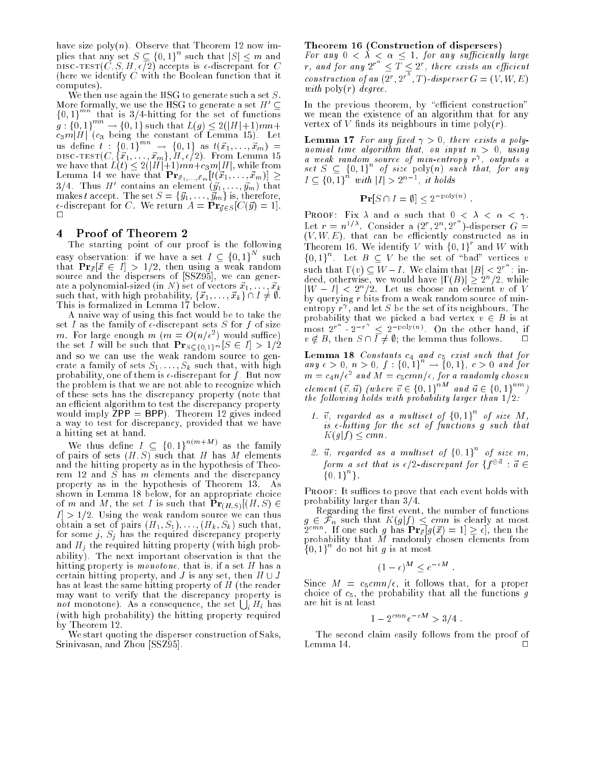have size poly $(n)$ . Observe that Theorem 12 now implies that any set  $S \subseteq \{0,1\}$  such that  $|S| \leq m$  and discorted the state of the state is discrepant for Companies in the Companies of Companies is -discrepant for C (here we identify  $C$  with the Boolean function that it computes).

We then use again the HSG to generate such a set  $S$ . More formally, we use the HSG to generate a set  $H' \subseteq$  ${0, 1}^{mn}$  that is 3/4-hitting for the set of functions  $g : \{0, 1\} \longrightarrow \{0, 1\}$  such that  $L(g) \leq 2(|H|+1)mn+$ c3mjHj (c3 being the constant of Lemma 15). Let us define  $t : \{0,1\} \rightarrow \{0,1\}$  as  $t(x_1, \ldots, x_m) =$ discovered the theory of  $m$  is the contract of the contract of the contract of the contract of the contract of we have that L(t) 2(jHj+1)mn+c3mjHj, while from  $\overline{3/4}$ . Thus H' contains an element  $(\vec{y}_1, \ldots, \vec{y}_m)$  that makes the set The set S = form in the set  $\mathcal{S}$  = form in the set  $\mathcal{S}$  is the set of the set of the set of the set of the set of the set of the set of the set of the set of the set of the set of the set of the set o  $\mathbf{u} = \mathbf{v} \cdot \mathbf{v} = \mathbf{v} \cdot \mathbf{v} = \mathbf{v} \cdot \mathbf{v} = \mathbf{v} \cdot \mathbf{v} = \mathbf{v} \cdot \mathbf{v} = \mathbf{v} \cdot \mathbf{v} = \mathbf{v} \cdot \mathbf{v} = \mathbf{v} \cdot \mathbf{v} = \mathbf{v} \cdot \mathbf{v} = \mathbf{v} \cdot \mathbf{v} = \mathbf{v} \cdot \mathbf{v} = \mathbf{v} \cdot \mathbf{v} = \mathbf{v} \cdot \mathbf{v} = \mathbf{v} \cdot \mathbf{v} = \mathbf$ 

# 4 Proof of Theorem 2

The starting point of our proof is the following easy observation: if we have a set  $I \subseteq \{0,1\}$  such that Pr $\mu$  is a  $\mu$  if  $\alpha$  and using a weak random variable  $\alpha$ source and the dispersers of [SSZ95], we can generate a polynomial-sized (in N) set of vectors ~x1; : : : ; ~xk such that, with high probability, f~x1; : : : ; ~xkg \ I 6= ;.

A naive way of using this fact would be to take the set I as the family of  $\epsilon$ -discrepant sets S for f of size *m*. For large enough *m* ( $m = O(n/\epsilon^{-})$  would suffice) the set I will be such that  $\mathbf{Pr}_{S \subseteq \{0,1\}^m}[S \in I] > 1/2$ and so we can use the weak random source to generate a family of sets  $S_1, \ldots, S_k$  such that, with high probability, one of them is  $\epsilon$ -discrepant for f. But now the problem is that we are not able to recognize which of these sets has the discrepancy property (note that an efficient algorithm to test the discrepancy property would imply  $\bar{ZPP} = BPP$ ). Theorem 12 gives indeed a way to test for discrepancy, provided that we have a hitting set at hand.

We thus define  $I \subseteq \{0,1\}^{m+n}$  as the family of pairs of sets  $(H, S)$  such that H has M elements and the hitting property as in the hypothesis of Theorem rem 12 and S has m elements and S has m elements and the discrepancy of the discrepancy of the discrepancy of property as in the hypothesis of Theorem 13. As shown in Lemma 18 below, for an appropriate choice of m and M, the set I is such that  $\mathbf{Pr}_{(H,S)}[(H, S) \in$  $|I| > 1/2$ . Using the weak random source we can thus obtained as set of pairs (H1; S1); : : : (  $\lambda$  in  $\mu$  ) such that, ( for some j, Sj has the required discrepancy property and  $H_j$  the required hitting property (with high probability). The next important observation is that the hitting property is monotone, that is, if a set H has a certain hitting property, and J is any set, then H  $\sim$  J has at least the same hitting property of H (the reader may want to verify that the discrepancy property is not monotone). As a consequence, the set  $\bigcup_i H_i$  has (with high probability) the hitting property required by Theorem 12.

We start quoting the disperser construction of Saks, Srinivasan, and Zhou [SSZ95].

#### Theorem 16 (Construction of dispersers)

r, and for any  $2^{r^{\alpha}} < \overline{T} < 2^{r}$ , there exists an efficient construction of an  $(2^r, 2^r, T)$ -disperser  $G = (V, W, E)$ with  $\text{poly}(r)$  degree.

In the previous theorem, by "efficient construction" we mean the existence of an algorithm that for any vertex of V finds its neighbours in time  $\text{poly}(r)$ .

**Lemma 17** For any fixed  $\gamma > 0$ , there exists a polynomial time algorithm that, on input  $n > 0$ , using a weak random source of min-entropy r , outputs a set  $S \subseteq \{0,1\}$  of size poly(n) such that, for any  $I \subseteq \{0,1\}$  with  $|I| > 2$ ", it holds

$$
\mathbf{Pr}[S \cap I = \emptyset] < 2^{-\text{poly}(n)}.
$$

PROOF: Fix  $\lambda$  and  $\alpha$  such that  $0 < \lambda < \alpha < \gamma$ . Let  $r = n^{1/\lambda}$ . Consider a  $(2^r, 2^n, 2^{r})$ -disperser  $G =$  $(V, W, E)$ , that can be efficiently constructed as in Theorem 16. We identify  $V$  with  $\{0,1\}$  and  $W$  with  $\{0,1\}^{\circ}$  . Let  $B \subseteq V$  be the set of "bad" vertices  $v$ such that  $\Gamma(v) \subseteq W - I$ . We claim that  $|B| < 2^{r^+}$ : indeed, otherwise, we would have  $|I(B)| \geq 2^n/2$ , while  $|W-I| < 2^n/2$ . Let us choose an element v of V by querying  $r$  bits from a weak random source of minentropy  $r$  , and let  $\beta$  be the set of its neighbours. The most  $2^{r^{\alpha}} \cdot 2^{-r^{\gamma}} < 2^{-poly(n)}$ . On the other hand, if  $v \notin B$ , then  $S \cap \overline{I} \neq \emptyset$ ; the lemma thus follows.

 $\mathbf{L}$  and c5 exist such that for  $\mathbf{L}$ any  $\epsilon > 0$ ,  $n > 0$ ,  $f : \{0,1\} \rightarrow \{0,1\}$ ,  $c > 0$  and for  $m = c_4 n_\ell \epsilon^2$  and  $m = c_5 c m n_\ell \epsilon$  , for a randomly chosen element  $(v, u)$  (where  $v \in \{0, 1\}$  and  $u \in \{0, 1\}$  ) the following holds with probability larger than  $1/2$ :

- 1. v, regarded as a multiset of  $\{0, 1\}$  of size M, is  $\epsilon$ -hitting for the set of functions g such that  $K(g|f) \leq cmn$ .
- 2. u, regarded as a multiset of  $\{0, 1\}$  of size m, form a set that is  $\epsilon/2$ -discrepant for  $\{f^{\oplus d} : d \in$ f0; 1g <sup>n</sup> g.

PROOF: It suffices to prove that each event holds with probability larger than 3=4.

Regarding the first event, the number of functions  $2^{cmn}$ . If one such g has  $Pr_{\vec{x}}[g(\vec{x}) = 1] \geq \epsilon$ , then the probability that M randomly chosen elements from  $\{0,1\}$  do not hit g is at most

$$
(1 - \epsilon)^M \le e^{-\epsilon M}.
$$

Since  $M = c_5 c m n / \epsilon$ , it follows that, for a proper choice of  $c_5$ , the probability that all the functions g are hit is at least

$$
1 - 2^{cmn} e^{-\epsilon M} > 3/4.
$$

The second claim easily follows from the proof of Lemma 14. П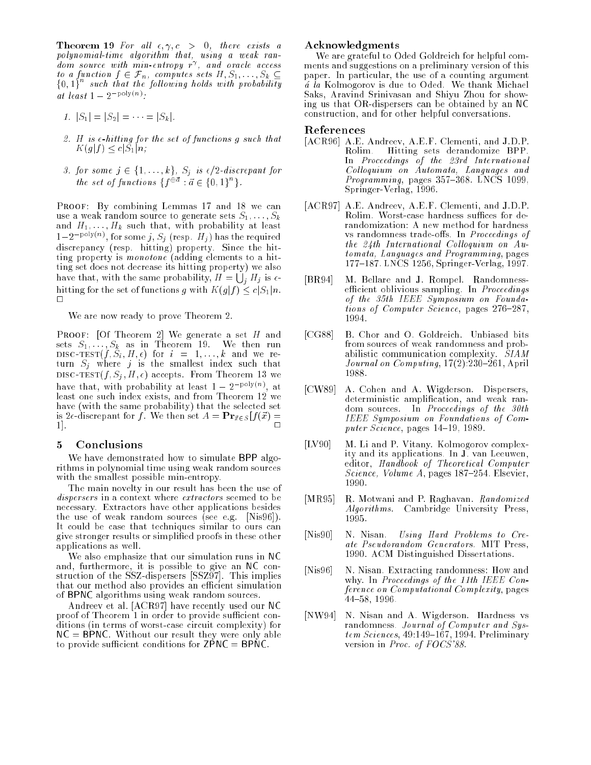Theorem 19 For al l ; 
; c > 0, there exists a polynomial-time algorithm that, using a weak random source with min-entropy r , and oracle access to a function function function function function  $\mu$  in  $\mu$  in  $\mu$  $\{0,1\}^*$  such that the following holds with probability at least  $1 - 2$  f  $\cdots$  .

- 1.  $|S_1| = |S_2| = \cdots = |S_k|$ .
- 2. H is  $\epsilon$ -hitting for the set of functions g such that  $K(g|f) \leq c|S_1|n;$
- 3. for some <sup>j</sup> 2 f1; : : : ; kg, Sj is =2-discrepant for the set of functions  $\{f^{\psi^a}:a\in\{0,1\}^+\}$ .

PROOF: By combining Lemmas 17 and 18 we can use a weak random source to generate sets  $S_1, \ldots, S_k$ and  $H_1, \ldots, H_k$  such that, with probability at least  $1-2$  f of some j,  $S_i$  (resp. H<sub>j</sub>) has the required discrepancy (resp. hitting) property. Since the hitting property is monotone (adding elements to a hitting set does not decrease its hitting property) we also have that, with the same probability,  $H = \bigcup_i H_j$  is  $\epsilon$ hitting for the set of functions g with  $K(g|f) \leq c|S_1|n$ .  $\Box$ 

We are now ready to prove Theorem 2.

PROOF: [Of Theorem 2] We generate a set  $H$  and sets  $S_1, \ldots, S_k$  as in Theorem 19. We then run discovered in the signal formulation of the signal contract of the signal contract of the signal contract of the signal contract of the signal contract of the signal contract of the signal contract of the signal contract o turn Sj where <sup>j</sup> is the smallest index such that DISC-TEST $(f, S_j, H, \epsilon)$  accepts. From Theorem 13 we have that, with probability at least  $1 - 2$  for  $\vee$  at least one such index exists, and from Theorem 12 we have (with the same probability) that the selected set is 2 $\epsilon$ -discrepant for f. We then set  $A = \mathbf{Pr}_{\vec{x} \in S} [f(\vec{x}) =$ 1]. <sup>2</sup>

# 5 Conclusions

We have demonstrated how to simulate BPP algorithms in polynomial time using weak random sources with the smallest possible min-entropy.

The main novelty in our result has been the use of dispersers in a context where extractors seemed to be necessary. Extractors have other applications besides the use of weak random sources (see e.g. [Nis96]). It could be case that techniques similar to ours can give stronger results or simplied proofs in these other applications as well.

We also emphasize that our simulation runs in NC and, furthermore, it is possible to give an I construction of the SSZ-dispersers in the SSZ-dispersers  $\mathbb{R}$  and the SSZ-dispersers  $\mathbb{R}$  and the SSZ-dispersers in the SSZ-dispersers in the SSZ-dispersers in the SSZ-dispersers in the SSZ-dispersers in the SSZ-dispe that our method also provides an efficient simulation of BPNC algorithms using weak random sources.

Andreev et al. [ACR97] have recently used our NC proof of Theorem 1 in order to provide sufficient conditions (in terms of worst-case circuit complexity) for  $NC = BPNC$ . Without our result they were only able to provide sufficient conditions for  $\text{ZPNC} = \text{BPNC}$ .

## Acknowledgments

We are grateful to Oded Goldreich for helpful comments and suggestions on a preliminary version of this paper. In particular, the use of a counting argument  $\tilde{a}$  la Kolmogorov is due to Oded. We thank Michael Saks, Aravind Srinivasan and Shiyu Zhou for showing us that OR-dispersers can be obtained by an NC construction, and for other helpful conversations.

#### References

- [ACR96] A.E. Andreev, A.E.F. Clementi, and J.D.P. Rolim. Hitting sets derandomize BPP. In Proceedings of the 23rd International Colloquium on Automata, Languages and  $Programming$ , pages 357-368. LNCS 1099, Springer-Verlag, 1996.
- [ACR97] A.E. Andreev, A.E.F. Clementi, and J.D.P. Rolim. Worst-case hardness suffices for derandomization: A new method for hardness vs randomness trade-offs. In Proceedings of the  $24th$  International Colloquium on Automata, Languages and Programming, pages 177-187. LNCS 1256, Springer-Verlag, 1997.
- [BR94] M. Bellare and J. Rompel. Randomnessefficient oblivious sampling. In *Proceedings* of the 35th IEEE Symposium on Foundations of Computer Science, pages 276-287, 1994.
- [CG88] B. Chor and O. Goldreich. Unbiased bits from sources of weak randomness and probabilistic communication complexity. SIAM Journal on  $Computing, 17(2):230-261, April$ 1988.
- [CW89] A. Cohen and A. Wigderson. Dispersers, deterministic amplication, and weak random sources. In Proceedings of the 30th IEEE Symposium on Foundations of Computer Science, pages  $14-19$ , 1989.
- $[LV90]$ M. Li and P. Vitany. Kolmogorov complexity and its applications. In J. van Leeuwen, editor, Handbook of Theoretical Computer Science, Volume  $A$ , pages 187-254. Elsevier, 1990.
- [MR95] R. Motwani and P. Raghavan. Randomized Algorithms. Cambridge University Press, 1995.
- [Nis90] N. Nisan. Using Hard Problems to Create Pseudorandom Generators. MIT Press, 1990. ACM Distinguished Dissertations.
- [Nis96] N. Nisan. Extracting randomness: How and why. In Proceedings of the 11th IEEE Conference on Computational Complexity, pages 44-58, 1996.
- [NW94] N. Nisan and A. Wigderson. Hardness vs randomness. Journal of Computer and Sys $tem\ Sciences, 49:149-167, 1994. Preliminary$ version in Proc. of FOCS'88.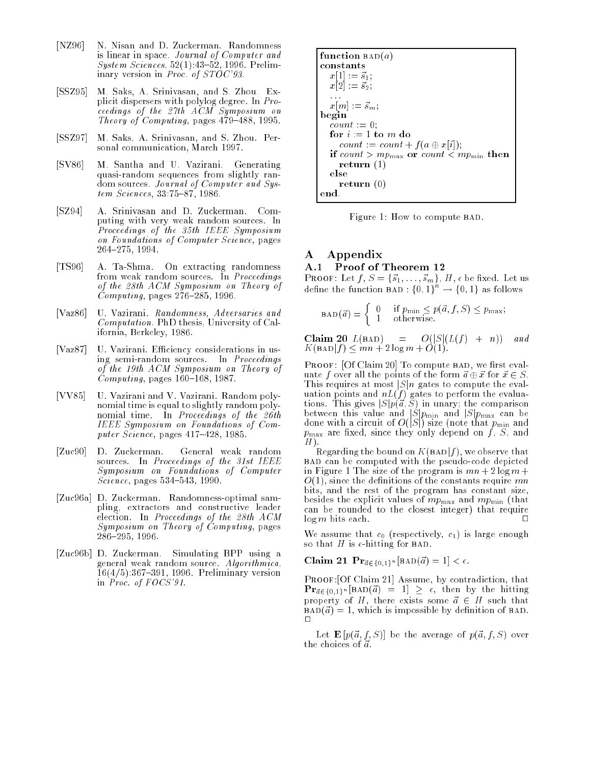- [NZ96] N. Nisan and D. Zuckerman. Randomness is linear in space. Journal of Computer and System Sciences, 52(1):43{52, 1996. Preliminary version in Proc. of STOC'93.
- [SSZ95] M. Saks, A. Srinivasan, and S. Zhou. Explicit dispersers with polylog degree. In Proceedings of the 27th ACM Symposium on Theory of Computing, pages  $479-488$ , 1995.
- [SSZ97] M. Saks, A. Srinivasan, and S. Zhou. Personal communication, March 1997.
- [SV86] M. Santha and U. Vazirani. Generating quasi-random sequences from slightly random sources. Journal of Computer and Sys $tem\ Sciences, 33:75-87, 1986.$
- [SZ94] A. Srinivasan and D. Zuckerman. Computing with very weak random sources. In Proceedings of the 35th IEEE Symposium on Foundations of Computer Science, pages 264{275, 1994.
- [TS96] A. Ta-Shma. On extracting randomness from weak random sources. In Proceedings of the 28th ACM Symposium on Theory of  $Computing$ , pages 276-285, 1996.
- [Vaz86] U. Vazirani. Randomness, Adversaries and Computation. PhD thesis, University of California, Berkeley, 1986.
- [Vaz87] U. Vazirani. Efficiency considerations in using semi-random sources. In Proceedings of the 19th ACM Symposium on Theory of  $Computing, pages 160–168, 1987.$
- [VV85] U. Vazirani and V. Vazirani. Random polynomial time is equal to slightly random polynomial time. In Proceedings of the 26th IEEE Symposium on Foundations of Computer Science, pages  $417-428$ , 1985.
- [Zuc90] D. Zuckerman. General weak random sources. In Proceedings of the 31st IEEE Symposium on Foundations of Computer  $Science, pages 534–543, 1990.$
- [Zuc96a] D. Zuckerman. Randomness-optimal sampling, extractors and constructive leader election. In Proceedings of the 28th ACM Symposium on Theory of Computing, pages 286{295, 1996.
- [Zuc96b] D. Zuckerman. Simulating BPP using a general weak random source. Algorithmica,  $16(4/5):367{-}391, 1996.$  Preliminary version in Proc. of FOCS'91.

function 
$$
BAD(a)
$$
\n\nconstants\n
$$
x[1] := \vec{s}_1;
$$
\n
$$
x[2] := \vec{s}_2;
$$
\n...\n\nbegin\n
$$
x[m] := \vec{s}_m;
$$
\n\nbegin\n
$$
count := 0;
$$
\n
$$
count := count + f(a \oplus x[i]);
$$
\n
$$
if count > mp_{\text{max}} \text{ or } count < mp_{\text{min}} \text{ then}
$$
\n
$$
return (1)
$$
\nelse\n return (0)\nend.\n

Figure 1: How to compute BAD.

# A Appendix A.1 Proof of Theorem 12

PROOF: Let  $f, S = \{\vec{s}_1, \ldots, \vec{s}_m\}, H, \epsilon$  be fixed. Let us define the function BAD : {0, 1}  $\rightarrow$  {0, 1} as follows

$$
BAD(\vec{a}) = \begin{cases} 0 & \text{if } p_{\min} \le p(\vec{a}, f, S) \le p_{\max}; \\ 1 & \text{otherwise.} \end{cases}
$$

Claim 20 L(bad) = O(jSj(L(f ) + n)) and K(badjf ) mn + 2 log m + O(1).

PROOF: [Of Claim 20] To compute BAD, we first evaluate f over all the points of the form  $\vec{a} \oplus \vec{x}$  for  $\vec{x} \in S$ . This requires at most  $|S|n$  gates to compute the evaluation points and nL(f ) gates to perform the evaluations. The comparison is given in the comparison of  $\mathcal{S}$ between this value and jSjpmin and jSjpmax can be done with a circuit of  $\mathcal{L}$  size (note that pmin and pmin and pmin and pmin and pmin and pmin and pmin and pmin and pmin and pmin and pmin and pmin and pmin and pmin and pmin and pmin and pmin and pmin and pmin and pm  $p$  max are constant since the  $j$  -respectively depend on  $f$  ,  $S$  , and  $\alpha$ H).

Regarding the bound on  $K(BAD|f)$ , we observe that bad can be computed with the pseudo-code depicted in Figure 1 The size of the program is  $mn + 2 \log m +$  $O(1)$ , since the definitions of the constants require mn bits, and the rest of the program has constant size, besides the explicit values of  $mp_{\text{max}}$  and  $mp_{\text{min}}$  (that can be rounded to the closest integer) that require  $log m$  bits each.

We assume that  $c_0$  (respectively,  $c_1$ ) is large enough so that H is  $\epsilon$ -hitting for BAD.

Claim 21  $\Pr_{\vec{a} \in \{0,1\}^n} [\text{BAD}(\vec{a}) = 1] < \epsilon$ .

PROOF: [Of Claim 21] Assume, by contradiction, that  $\mathbf{Pr}_{\vec{a}\in\{0,1\}^n}[\text{BAD}(\vec{a}) = 1] \geq \epsilon$ , then by the hitting property of H, there exists some  $\vec{a} \in H$  such that  $BAD(\vec{a}) = 1$ , which is impossible by definition of BAD.  $\Box$ 

Let  $\mathbf{E} [p(\vec{a}, f, S)]$  be the average of  $p(\vec{a}, f, S)$  over the choices of  $\vec{a}$ .